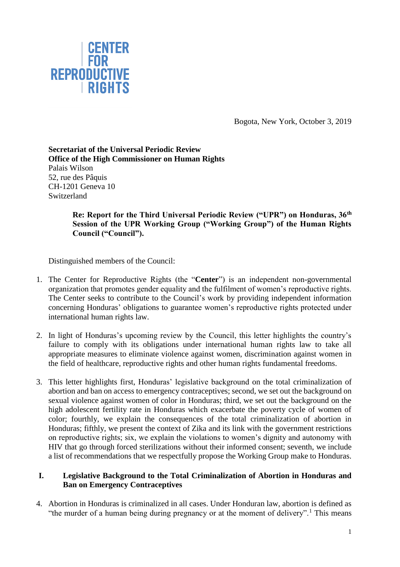

Bogota, New York, October 3, 2019

### **Secretariat of the Universal Periodic Review Office of the High Commissioner on Human Rights** Palais Wilson 52, rue des Pâquis CH-1201 Geneva 10 Switzerland

**Re: Report for the Third Universal Periodic Review ("UPR") on Honduras, 36th Session of the UPR Working Group ("Working Group") of the Human Rights Council ("Council").**

Distinguished members of the Council:

- 1. The Center for Reproductive Rights (the "**Center**") is an independent non-governmental organization that promotes gender equality and the fulfilment of women's reproductive rights. The Center seeks to contribute to the Council's work by providing independent information concerning Honduras' obligations to guarantee women's reproductive rights protected under international human rights law.
- 2. In light of Honduras's upcoming review by the Council, this letter highlights the country's failure to comply with its obligations under international human rights law to take all appropriate measures to eliminate violence against women, discrimination against women in the field of healthcare, reproductive rights and other human rights fundamental freedoms.
- 3. This letter highlights first, Honduras' legislative background on the total criminalization of abortion and ban on access to emergency contraceptives; second, we set out the background on sexual violence against women of color in Honduras; third, we set out the background on the high adolescent fertility rate in Honduras which exacerbate the poverty cycle of women of color; fourthly, we explain the consequences of the total criminalization of abortion in Honduras; fifthly, we present the context of Zika and its link with the government restrictions on reproductive rights; six, we explain the violations to women's dignity and autonomy with HIV that go through forced sterilizations without their informed consent; seventh, we include a list of recommendations that we respectfully propose the Working Group make to Honduras.

# **I. Legislative Background to the Total Criminalization of Abortion in Honduras and Ban on Emergency Contraceptives**

4. Abortion in Honduras is criminalized in all cases. Under Honduran law, abortion is defined as "the murder of a human being during pregnancy or at the moment of delivery".<sup>1</sup> This means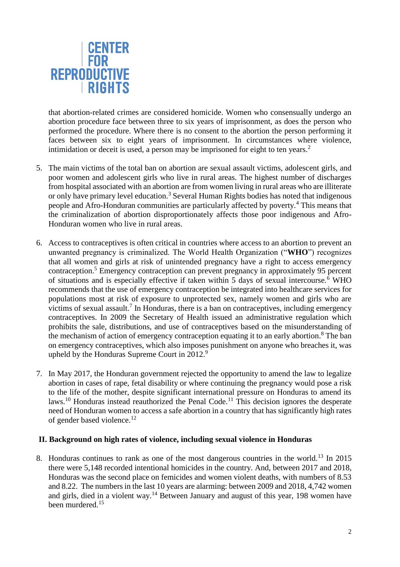

that abortion-related crimes are considered homicide. Women who consensually undergo an abortion procedure face between three to six years of imprisonment, as does the person who performed the procedure. Where there is no consent to the abortion the person performing it faces between six to eight years of imprisonment. In circumstances where violence, intimidation or deceit is used, a person may be imprisoned for eight to ten years.<sup>2</sup>

- 5. The main victims of the total ban on abortion are sexual assault victims, adolescent girls, and poor women and adolescent girls who live in rural areas. The highest number of discharges from hospital associated with an abortion are from women living in rural areas who are illiterate or only have primary level education.<sup>3</sup> Several Human Rights bodies has noted that indigenous people and Afro-Honduran communities are particularly affected by poverty.<sup>4</sup> This means that the criminalization of abortion disproportionately affects those poor indigenous and Afro-Honduran women who live in rural areas.
- 6. Access to contraceptives is often critical in countries where access to an abortion to prevent an unwanted pregnancy is criminalized. The World Health Organization ("**WHO**") recognizes that all women and girls at risk of unintended pregnancy have a right to access emergency contraception.<sup>5</sup> Emergency contraception can prevent pregnancy in approximately 95 percent of situations and is especially effective if taken within 5 days of sexual intercourse.<sup> $\overline{6}$ </sup> WHO recommends that the use of emergency contraception be integrated into healthcare services for populations most at risk of exposure to unprotected sex, namely women and girls who are victims of sexual assault.<sup>7</sup> In Honduras, there is a ban on contraceptives, including emergency contraceptives. In 2009 the Secretary of Health issued an administrative regulation which prohibits the sale, distributions, and use of contraceptives based on the misunderstanding of the mechanism of action of emergency contraception equating it to an early abortion.<sup>8</sup> The ban on emergency contraceptives, which also imposes punishment on anyone who breaches it, was upheld by the Honduras Supreme Court in 2012. $9$
- 7. In May 2017, the Honduran government rejected the opportunity to amend the law to legalize abortion in cases of rape, fetal disability or where continuing the pregnancy would pose a risk to the life of the mother, despite significant international pressure on Honduras to amend its laws.<sup>10</sup> Honduras instead reauthorized the Penal Code.<sup>11</sup> This decision ignores the desperate need of Honduran women to access a safe abortion in a country that has significantly high rates of gender based violence.<sup>12</sup>

#### **II. Background on high rates of violence, including sexual violence in Honduras**

8. Honduras continues to rank as one of the most dangerous countries in the world.<sup>13</sup> In 2015 there were 5,148 recorded intentional homicides in the country. And, between 2017 and 2018, Honduras was the second place on femicides and women violent deaths, with numbers of 8.53 and 8.22. The numbers in the last 10 years are alarming: between 2009 and 2018, 4,742 women and girls, died in a violent way.<sup>14</sup> Between January and august of this year, 198 women have been murdered.<sup>15</sup>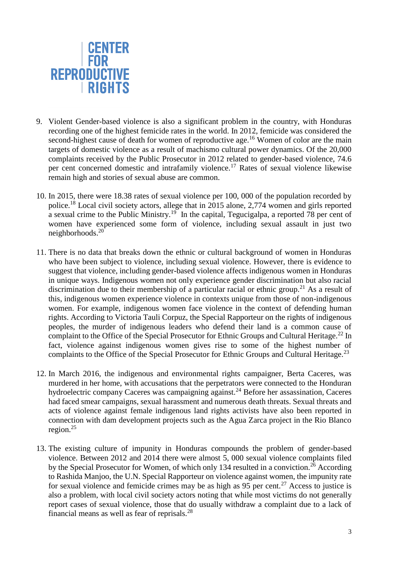

- 9. Violent Gender-based violence is also a significant problem in the country, with Honduras recording one of the highest femicide rates in the world. In 2012, femicide was considered the second-highest cause of death for women of reproductive age.<sup>16</sup> Women of color are the main targets of domestic violence as a result of machismo cultural power dynamics. Of the 20,000 complaints received by the Public Prosecutor in 2012 related to gender-based violence, 74.6 per cent concerned domestic and intrafamily violence.<sup>17</sup> Rates of sexual violence likewise remain high and stories of sexual abuse are common.
- 10. In 2015, there were 18.38 rates of sexual violence per 100, 000 of the population recorded by police.<sup>18</sup> Local civil society actors, allege that in 2015 alone, 2,774 women and girls reported a sexual crime to the Public Ministry.<sup>19</sup> In the capital, Tegucigalpa, a reported 78 per cent of women have experienced some form of violence, including sexual assault in just two neighborhoods. 20
- 11. There is no data that breaks down the ethnic or cultural background of women in Honduras who have been subject to violence, including sexual violence. However, there is evidence to suggest that violence, including gender-based violence affects indigenous women in Honduras in unique ways. Indigenous women not only experience gender discrimination but also racial discrimination due to their membership of a particular racial or ethnic group.<sup>21</sup> As a result of this, indigenous women experience violence in contexts unique from those of non-indigenous women. For example, indigenous women face violence in the context of defending human rights. According to Victoria Tauli Corpuz, the Special Rapporteur on the rights of indigenous peoples, the murder of indigenous leaders who defend their land is a common cause of complaint to the Office of the Special Prosecutor for Ethnic Groups and Cultural Heritage.<sup>22</sup> In fact, violence against indigenous women gives rise to some of the highest number of complaints to the Office of the Special Prosecutor for Ethnic Groups and Cultural Heritage.<sup>23</sup>
- 12. In March 2016, the indigenous and environmental rights campaigner, Berta Caceres, was murdered in her home, with accusations that the perpetrators were connected to the Honduran hydroelectric company Caceres was campaigning against.<sup>24</sup> Before her assassination, Caceres had faced smear campaigns, sexual harassment and numerous death threats. Sexual threats and acts of violence against female indigenous land rights activists have also been reported in connection with dam development projects such as the Agua Zarca project in the Rio Blanco region. $25$
- 13. The existing culture of impunity in Honduras compounds the problem of gender-based violence. Between 2012 and 2014 there were almost 5, 000 sexual violence complaints filed by the Special Prosecutor for Women, of which only 134 resulted in a conviction.<sup>26</sup> According to Rashida Manjoo, the U.N. Special Rapporteur on violence against women, the impunity rate for sexual violence and femicide crimes may be as high as  $95$  per cent.<sup>27</sup> Access to justice is also a problem, with local civil society actors noting that while most victims do not generally report cases of sexual violence, those that do usually withdraw a complaint due to a lack of financial means as well as fear of reprisals. $^{28}$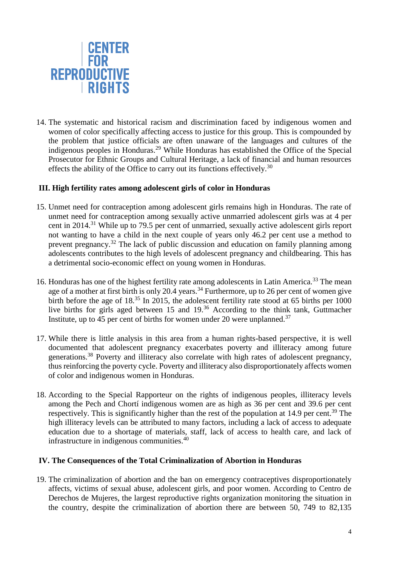

14. The systematic and historical racism and discrimination faced by indigenous women and women of color specifically affecting access to justice for this group. This is compounded by the problem that justice officials are often unaware of the languages and cultures of the indigenous peoples in Honduras.<sup>29</sup> While Honduras has established the Office of the Special Prosecutor for Ethnic Groups and Cultural Heritage, a lack of financial and human resources effects the ability of the Office to carry out its functions effectively.<sup>30</sup>

### **III. High fertility rates among adolescent girls of color in Honduras**

- 15. Unmet need for contraception among adolescent girls remains high in Honduras. The rate of unmet need for contraception among sexually active unmarried adolescent girls was at 4 per cent in 2014.<sup>31</sup> While up to 79.5 per cent of unmarried, sexually active adolescent girls report not wanting to have a child in the next couple of years only 46.2 per cent use a method to prevent pregnancy.<sup>32</sup> The lack of public discussion and education on family planning among adolescents contributes to the high levels of adolescent pregnancy and childbearing. This has a detrimental socio-economic effect on young women in Honduras.
- 16. Honduras has one of the highest fertility rate among adolescents in Latin America.<sup>33</sup> The mean age of a mother at first birth is only 20.4 years.<sup>34</sup> Furthermore, up to 26 per cent of women give birth before the age of 18.<sup>35</sup> In 2015, the adolescent fertility rate stood at 65 births per 1000 live births for girls aged between 15 and 19.<sup>36</sup> According to the think tank, Guttmacher Institute, up to 45 per cent of births for women under 20 were unplanned.<sup>37</sup>
- 17. While there is little analysis in this area from a human rights-based perspective, it is well documented that adolescent pregnancy exacerbates poverty and illiteracy among future generations.<sup>38</sup> Poverty and illiteracy also correlate with high rates of adolescent pregnancy, thus reinforcing the poverty cycle. Poverty and illiteracy also disproportionately affects women of color and indigenous women in Honduras.
- 18. According to the Special Rapporteur on the rights of indigenous peoples, illiteracy levels among the Pech and Chortí indigenous women are as high as 36 per cent and 39.6 per cent respectively. This is significantly higher than the rest of the population at 14.9 per cent.<sup>39</sup> The high illiteracy levels can be attributed to many factors, including a lack of access to adequate education due to a shortage of materials, staff, lack of access to health care, and lack of infrastructure in indigenous communities.<sup>40</sup>

#### **IV. The Consequences of the Total Criminalization of Abortion in Honduras**

19. The criminalization of abortion and the ban on emergency contraceptives disproportionately affects, victims of sexual abuse, adolescent girls, and poor women. According to Centro de Derechos de Mujeres, the largest reproductive rights organization monitoring the situation in the country, despite the criminalization of abortion there are between 50, 749 to 82,135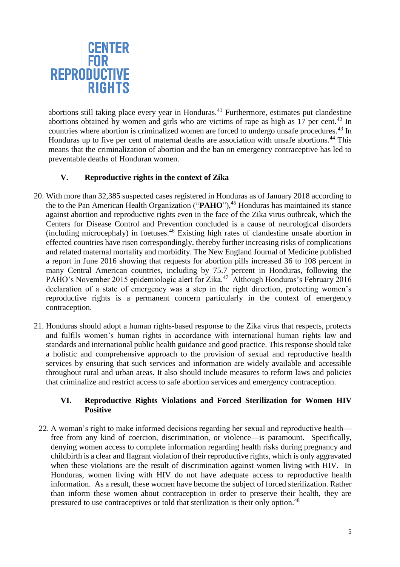

abortions still taking place every year in Honduras.<sup>41</sup> Furthermore, estimates put clandestine abortions obtained by women and girls who are victims of rape as high as  $17$  per cent.<sup>42</sup> In countries where abortion is criminalized women are forced to undergo unsafe procedures.<sup>43</sup> In Honduras up to five per cent of maternal deaths are association with unsafe abortions.<sup>44</sup> This means that the criminalization of abortion and the ban on emergency contraceptive has led to preventable deaths of Honduran women.

# **V. Reproductive rights in the context of Zika**

- 20. With more than 32,385 suspected cases registered in Honduras as of January 2018 according to the to the Pan American Health Organization ("**PAHO**"), <sup>45</sup> Honduras has maintained its stance against abortion and reproductive rights even in the face of the Zika virus outbreak, which the Centers for Disease Control and Prevention concluded is a cause of neurological disorders (including microcephaly) in foetuses. <sup>46</sup> Existing high rates of clandestine unsafe abortion in effected countries have risen correspondingly, thereby further increasing risks of complications and related maternal mortality and morbidity. The New England Journal of Medicine published a report in June 2016 showing that requests for abortion pills increased 36 to 108 percent in many Central American countries, including by 75.7 percent in Honduras, following the PAHO's November 2015 epidemiologic alert for Zika.<sup>47</sup> Although Honduras's February 2016 declaration of a state of emergency was a step in the right direction, protecting women's reproductive rights is a permanent concern particularly in the context of emergency contraception.
- 21. Honduras should adopt a human rights-based response to the Zika virus that respects, protects and fulfils women's human rights in accordance with international human rights law and standards and international public health guidance and good practice. This response should take a holistic and comprehensive approach to the provision of sexual and reproductive health services by ensuring that such services and information are widely available and accessible throughout rural and urban areas. It also should include measures to reform laws and policies that criminalize and restrict access to safe abortion services and emergency contraception.

# **VI. Reproductive Rights Violations and Forced Sterilization for Women HIV Positive**

22. A woman's right to make informed decisions regarding her sexual and reproductive health free from any kind of coercion, discrimination, or violence—is paramount. Specifically, denying women access to complete information regarding health risks during pregnancy and childbirth is a clear and flagrant violation of their reproductive rights, which is only aggravated when these violations are the result of discrimination against women living with HIV. In Honduras, women living with HIV do not have adequate access to reproductive health information. As a result, these women have become the subject of forced sterilization. Rather than inform these women about contraception in order to preserve their health, they are pressured to use contraceptives or told that sterilization is their only option.<sup>48</sup>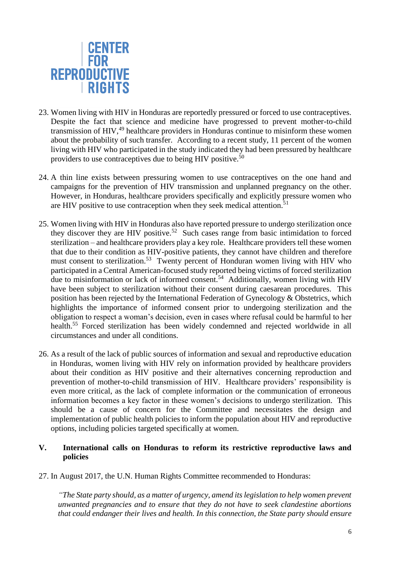

- 23. Women living with HIV in Honduras are reportedly pressured or forced to use contraceptives. Despite the fact that science and medicine have progressed to prevent mother-to-child transmission of HIV,<sup>49</sup> healthcare providers in Honduras continue to misinform these women about the probability of such transfer. According to a recent study, 11 percent of the women living with HIV who participated in the study indicated they had been pressured by healthcare providers to use contraceptives due to being HIV positive.<sup>50</sup>
- 24. A thin line exists between pressuring women to use contraceptives on the one hand and campaigns for the prevention of HIV transmission and unplanned pregnancy on the other. However, in Honduras, healthcare providers specifically and explicitly pressure women who are HIV positive to use contraception when they seek medical attention.<sup>51</sup>
- 25. Women living with HIV in Honduras also have reported pressure to undergo sterilization once they discover they are HIV positive.<sup>52</sup> Such cases range from basic intimidation to forced sterilization – and healthcare providers play a key role. Healthcare providers tell these women that due to their condition as HIV-positive patients, they cannot have children and therefore must consent to sterilization.<sup>53</sup> Twenty percent of Honduran women living with HIV who participated in a Central American-focused study reported being victims of forced sterilization due to misinformation or lack of informed consent.<sup>54</sup> Additionally, women living with HIV have been subject to sterilization without their consent during caesarean procedures. This position has been rejected by the International Federation of Gynecology & Obstetrics, which highlights the importance of informed consent prior to undergoing sterilization and the obligation to respect a woman's decision, even in cases where refusal could be harmful to her health.<sup>55</sup> Forced sterilization has been widely condemned and rejected worldwide in all circumstances and under all conditions.
- 26. As a result of the lack of public sources of information and sexual and reproductive education in Honduras, women living with HIV rely on information provided by healthcare providers about their condition as HIV positive and their alternatives concerning reproduction and prevention of mother-to-child transmission of HIV. Healthcare providers' responsibility is even more critical, as the lack of complete information or the communication of erroneous information becomes a key factor in these women's decisions to undergo sterilization. This should be a cause of concern for the Committee and necessitates the design and implementation of public health policies to inform the population about HIV and reproductive options, including policies targeted specifically at women.

### **V. International calls on Honduras to reform its restrictive reproductive laws and policies**

27. In August 2017, the U.N. Human Rights Committee recommended to Honduras:

*"The State party should, as a matter of urgency, amend its legislation to help women prevent unwanted pregnancies and to ensure that they do not have to seek clandestine abortions that could endanger their lives and health. In this connection, the State party should ensure*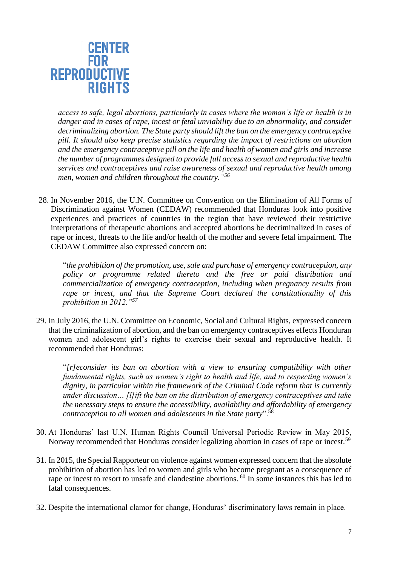

*access to safe, legal abortions, particularly in cases where the woman's life or health is in danger and in cases of rape, incest or fetal unviability due to an abnormality, and consider decriminalizing abortion. The State party should lift the ban on the emergency contraceptive pill. It should also keep precise statistics regarding the impact of restrictions on abortion and the emergency contraceptive pill on the life and health of women and girls and increase the number of programmes designed to provide full access to sexual and reproductive health services and contraceptives and raise awareness of sexual and reproductive health among men, women and children throughout the country."<sup>56</sup>*

28. In November 2016, the U.N. Committee on Convention on the Elimination of All Forms of Discrimination against Women (CEDAW) recommended that Honduras look into positive experiences and practices of countries in the region that have reviewed their restrictive interpretations of therapeutic abortions and accepted abortions be decriminalized in cases of rape or incest, threats to the life and/or health of the mother and severe fetal impairment. The CEDAW Committee also expressed concern on:

"*the prohibition of the promotion, use, sale and purchase of emergency contraception, any policy or programme related thereto and the free or paid distribution and commercialization of emergency contraception, including when pregnancy results from rape or incest, and that the Supreme Court declared the constitutionality of this prohibition in 2012."<sup>57</sup>*

29. In July 2016, the U.N. Committee on Economic, Social and Cultural Rights, expressed concern that the criminalization of abortion, and the ban on emergency contraceptives effects Honduran women and adolescent girl's rights to exercise their sexual and reproductive health. It recommended that Honduras:

"*[r]econsider its ban on abortion with a view to ensuring compatibility with other fundamental rights, such as women's right to health and life, and to respecting women's dignity, in particular within the framework of the Criminal Code reform that is currently under discussion… [l]ift the ban on the distribution of emergency contraceptives and take the necessary steps to ensure the accessibility, availability and affordability of emergency contraception to all women and adolescents in the State party*".<sup>58</sup>

- 30. At Honduras' last U.N. Human Rights Council Universal Periodic Review in May 2015, Norway recommended that Honduras consider legalizing abortion in cases of rape or incest.<sup>59</sup>
- 31. In 2015, the Special Rapporteur on violence against women expressed concern that the absolute prohibition of abortion has led to women and girls who become pregnant as a consequence of rape or incest to resort to unsafe and clandestine abortions. <sup>60</sup> In some instances this has led to fatal consequences.
- 32. Despite the international clamor for change, Honduras' discriminatory laws remain in place.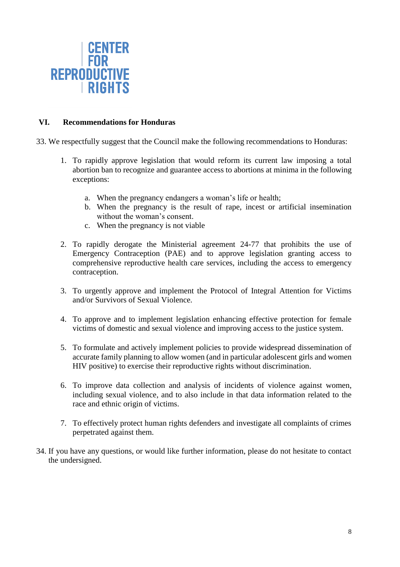

# **VI. Recommendations for Honduras**

- 33. We respectfully suggest that the Council make the following recommendations to Honduras:
	- 1. To rapidly approve legislation that would reform its current law imposing a total abortion ban to recognize and guarantee access to abortions at minima in the following exceptions:
		- a. When the pregnancy endangers a woman's life or health;
		- b. When the pregnancy is the result of rape, incest or artificial insemination without the woman's consent.
		- c. When the pregnancy is not viable
	- 2. To rapidly derogate the Ministerial agreement 24-77 that prohibits the use of Emergency Contraception (PAE) and to approve legislation granting access to comprehensive reproductive health care services, including the access to emergency contraception.
	- 3. To urgently approve and implement the Protocol of Integral Attention for Victims and/or Survivors of Sexual Violence.
	- 4. To approve and to implement legislation enhancing effective protection for female victims of domestic and sexual violence and improving access to the justice system.
	- 5. To formulate and actively implement policies to provide widespread dissemination of accurate family planning to allow women (and in particular adolescent girls and women HIV positive) to exercise their reproductive rights without discrimination.
	- 6. To improve data collection and analysis of incidents of violence against women, including sexual violence, and to also include in that data information related to the race and ethnic origin of victims.
	- 7. To effectively protect human rights defenders and investigate all complaints of crimes perpetrated against them.
- 34. If you have any questions, or would like further information, please do not hesitate to contact the undersigned.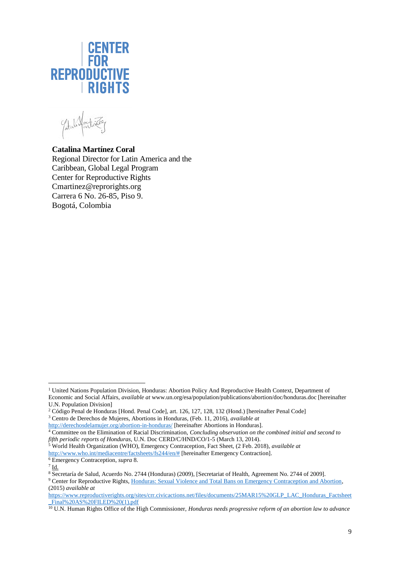

**Catalina Martínez Coral** Regional Director for Latin America and the Caribbean, Global Legal Program Center for Reproductive Rights Cmartinez@reprorights.org Carrera 6 No. 26-85, Piso 9. Bogotá, Colombia

<sup>&</sup>lt;sup>1</sup> United Nations Population Division, Honduras: Abortion Policy And Reproductive Health Context, Department of Economic and Social Affairs, *available at* www.un.org/esa/population/publications/abortion/doc/honduras.doc [hereinafter U.N. Population Division] l

<sup>&</sup>lt;sup>2</sup> Código Penal de Honduras [Hond. Penal Code], art. 126, 127, 128, 132 (Hond.) [hereinafter Penal Code] <sup>3</sup> Centro de Derechos de Mujeres, Abortions in Honduras, (Feb. 11, 2016), *available at* 

<http://derechosdelamujer.org/abortion-in-honduras/> [hereinafter Abortions in Honduras].

<sup>4</sup> Committee on the Elimination of Racial Discrimination, *Concluding observation on the combined initial and second to fifth periodic reports of Honduras*, U.N. Doc CERD/C/HND/CO/1-5 (March 13, 2014).

<sup>5</sup> World Health Organization (WHO), Emergency Contraception, Fact Sheet, (2 Feb. 2018), *available at* 

[http://www.who.int/mediacentre/factsheets/fs244/en/#](http://www.who.int/mediacentre/factsheets/fs244/en/) [hereinafter Emergency Contraction].

<sup>6</sup> Emergency Contraception, *supra* 8.  $^7$  Id.

<sup>&</sup>lt;sup>8</sup> Secretaría de Salud, Acuerdo No. 2744 (Honduras) (2009), [Secretariat of Health, Agreement No. 2744 of 2009].

<sup>&</sup>lt;sup>9</sup> Center for Reproductive Rights, Honduras: Sexual Violence and Total Bans on Emergency Contraception and Abortion, (2015) *available at* 

[https://www.reproductiverights.org/sites/crr.civicactions.net/files/documents/25MAR15%20GLP\\_LAC\\_Honduras\\_Factsheet](https://www.reproductiverights.org/sites/crr.civicactions.net/files/documents/25MAR15%20GLP_LAC_Honduras_Factsheet_Final%20AS%20FILED%20(1).pdf) Final%20AS%20FILED%20(1).pdf

<sup>10</sup> U.N. Human Rights Office of the High Commissioner, *Honduras needs progressive reform of an abortion law to advance*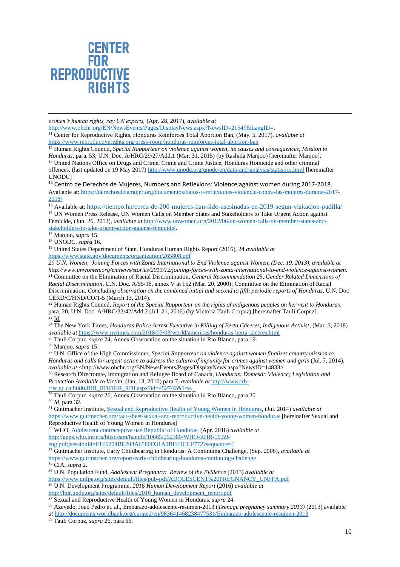

*women's human rights, say UN experts,* (Apr. 28, 2017), *available at* 

[http://www.ohchr.org/EN/NewsEvents/Pages/DisplayNews.aspx?NewsID=21549&LangID=](http://www.ohchr.org/EN/NewsEvents/Pages/DisplayNews.aspx?NewsID=21549&LangID).

<sup>11</sup> Center for Reproductive Rights, Honduras Reinforces Total Abortion Ban, (May. 5, 2017), *available at*  <https://www.reproductiverights.org/press-room/honduras-reinforces-total-abortion-ban>

<sup>12</sup> Human Rights Council, *Special Rapporteur on violence against women, its causes and consequences, Mission to Honduras*, para. 53, U.N. Doc. A/HRC/29/27/Add.1 (Mar. 31, 2015) (by Rashida Manjoo) [hereinafter Manjoo]. <sup>13</sup> United Nations Office on Drugs and Crime, Crime and Crime Justice, Honduras Homicide and other criminal offences, (last updated on 19 May 2017) <http://www.unodc.org/unodc/en/data-and-analysis/statistics.html> [hereinafter

UNODC] <sup>14</sup> Centro de Derechos de Mujeres, Numbers and Reflexions: Violence against women during 2017-2018. Available at: [https://derechosdelamujer.org/documentos/datos-y-reflexiones-violencia-contra-las-mujeres-durante-2017-](https://derechosdelamujer.org/documentos/datos-y-reflexiones-violencia-contra-las-mujeres-durante-2017-2018/)

[2018/](https://derechosdelamujer.org/documentos/datos-y-reflexiones-violencia-contra-las-mujeres-durante-2017-2018/)

i

<sup>15</sup> Available at: <https://tiempo.hn/cerca-de-200-mujeres-han-sido-asesinadas-en-2019-segun-visitacion-padilla/> <sup>16</sup> UN Women Press Release, UN Women Calls on Member States and Stakeholders to Take Urgent Action against Femicide, (Jun. 26, 2012), *available at* [http://www.unwomen.org/2012/06/un-women-calls-on-member-states-and](http://www.unwomen.org/2012/06/un-women-calls-on-member-states-and-stakeholders-to-take-urgent-action-against-femicide/)[stakeholders-to-take-urgent-action-against-femicide/.](http://www.unwomen.org/2012/06/un-women-calls-on-member-states-and-stakeholders-to-take-urgent-action-against-femicide/)

<sup>17</sup> Manjoo, *supra* 15.

<sup>18</sup> UNODC, *supra* 16.

<sup>19</sup> United States Department of State, Honduras Human Rights Report (2016), 24 *available at*  <https://www.state.gov/documents/organization/265808.pdf>

*20 U.N. Women, Joining Forces with Zonta International to End Violence against Women, (Dec. 19, 2013), available at [http://www.unwomen.org/en/news/stories/2013/12/joining-forces-with-zonta-international-to-end-violence-against-women.](http://www.unwomen.org/en/news/stories/2013/12/joining-forces-with-zonta-international-to-end-violence-against-women)* <sup>21</sup> Committee on the Elimination of Racial Discrimination, *General Recommendation 25, Gender Related Dimensions of Racial Discrimination*, U.N. Doc. A/55/18, annex V at 152 (Mar. 20, 2000); Committee on the Elimination of Racial Discrimination, *Concluding observation on the combined initial and second to fifth periodic reports of Honduras*, U.N. Doc CERD/C/HND/CO/1-5 (March 13, 2014).

<sup>22</sup> Human Rights Council, *Report of the Special Rapporteur on the rights of indigenous peoples on her visit to Honduras*, para. 20, U.N. Doc. A/HRC/33/42/Add.2 (Jul. 21, 2016) (by Victoria Tauli Corpuz) [hereinafter Tauli Corpuz]. <sup>23</sup> Id.

<sup>24</sup> The New York Times, *Honduras Police Arrest Executive in Killing of Berta Cáceres, Indigenous Activist*, (Mar. 3, 2018) *available at* <https://www.nytimes.com/2018/03/03/world/americas/honduras-berta-caceres.html>

<sup>25</sup> Tauli Corpuz, *supra* 24, Annex Observation on the situation in Rio Blanco, para 19.

<sup>26</sup> Manjoo, *supra* 15.

<sup>27</sup> U.N. Office of the High Commissioner, *Special Rapporteur on violence against women finalizes country mission to Honduras and calls for urgent action to address the culture of impunity for crimes against women and girls* (Jul. 7, 2014), *available at* <http://www.ohchr.org/EN/NewsEvents/Pages/DisplayNews.aspx?NewsID=14833>

<sup>28</sup> Research Directorate, Immigration and Refugee Board of Canada, *Honduras: Domestic Violence; Legislation and Protection Available to Victim*, (Jan. 13, 2010) para 7, *available at* [http://www.irb-](http://www.irb-cisr.gc.ca:8080/RIR_RDI/RIR_RDI.aspx?id=452742&1=e)

[cisr.gc.ca:8080/RIR\\_RDI/RIR\\_RDI.aspx?id=452742&1=e](http://www.irb-cisr.gc.ca:8080/RIR_RDI/RIR_RDI.aspx?id=452742&1=e)[.](https://larrlasa.org/articles/10.25222/larr.73/main-text-B60) 

<sup>29</sup> Tauli Corpuz, *supra* 26, Annex Observation on the situation in Rio Blanco, para 30 <sup>30</sup> *Id*, para 32.

<sup>31</sup> Guttmacher Institute, [Sexual and Reproductive Health](https://www.guttmacher.org/fact-sheet/sexual-and-reproductive-health-young-women-honduras) of Young Women in Honduras, (Jul. 2014) *available at* <https://www.guttmacher.org/fact-sheet/sexual-and-reproductive-health-young-women-honduras> [hereinafter Sexual and Reproductive Health of Young Women in Honduras]

<sup>32</sup> WHO, [Adolescent contraceptive use Republic of Honduras,](http://apps.who.int/iris/bitstream/handle/10665/252380/WHO-RHR-16.59-eng.pdf;jsessionid=F1F6204BE298A6580D31A0BFE1CCF772?sequence=1) (Apr. 2018) *available at* 

[http://apps.who.int/iris/bitstream/handle/10665/252380/WHO-RHR-16.59-](http://apps.who.int/iris/bitstream/handle/10665/252380/WHO-RHR-16.59-eng.pdf;jsessionid=F1F6204BE298A6580D31A0BFE1CCF772?sequence=1)

[eng.pdf;jsessionid=F1F6204BE298A6580D31A0BFE1CCF772?sequence=1](http://apps.who.int/iris/bitstream/handle/10665/252380/WHO-RHR-16.59-eng.pdf;jsessionid=F1F6204BE298A6580D31A0BFE1CCF772?sequence=1)

<sup>33</sup> Guttmacher Institute, Early Childbearing in Honduras: A Continuing Challenge, (Sep. 2006), *available at*  <https://www.guttmacher.org/report/early-childbearing-honduras-continuing-challenge>

<sup>34</sup> CIA, *supra* 2.

<sup>35</sup> U.N. Population Fund, *Adolescent Pregnancy: Review of the Evidence* (2013) *available at*  [https://www.unfpa.org/sites/default/files/pub-pdf/ADOLESCENT%20PREGNANCY\\_UNFPA.pdf](https://www.unfpa.org/sites/default/files/pub-pdf/ADOLESCENT%20PREGNANCY_UNFPA.pdf)

<sup>36</sup> U.N. Development Programme, *2016 Human Development Report* (2016) *available at* 

[http://hdr.undp.org/sites/default/files/2016\\_human\\_development\\_report.pdf](http://hdr.undp.org/sites/default/files/2016_human_development_report.pdf)

<sup>37</sup> Sexual and Reproductive Health of Young Women in Honduras, *supra* 24.

<sup>38</sup> Azevedo, Joao Pedro et. al., Embarazo-adolescente-resumen-2013 (*Teenage pregnancy summary 2013)* (2013) available

*at* <http://documents.worldbank.org/curated/en/983641468238477531/Embarazo-adolescente-resumen-2013>

<sup>39</sup> Tauli Corpuz, *supra* 26, para 66.